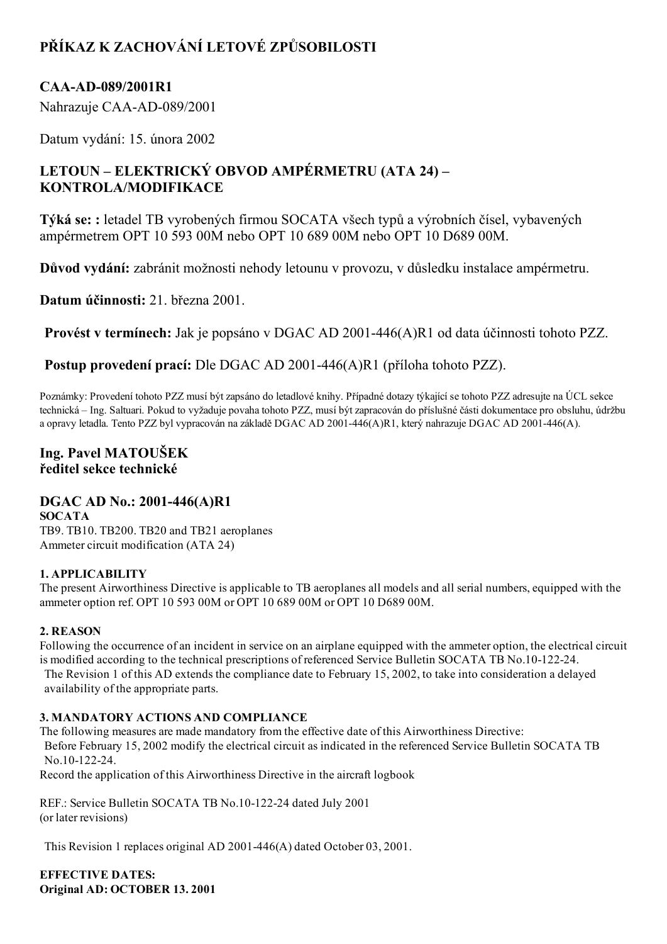# PŘÍKAZ K ZACHOVÁNÍ LETOVÉ ZPŮSOBILOSTI

## CAA-AD-089/2001R1

Nahrazuje CAA-AD-089/2001

Datum vydání: 15. února 2002

## LETOUN – ELEKTRICKÝ OBVOD AMPÉRMETRU (ATA 24) – KONTROLA/MODIFIKACE

Týká se: : letadel TB vyrobených firmou SOCATA všech typů a výrobních čísel, vybavených ampérmetrem OPT 10 593 00M nebo OPT 10 689 00M nebo OPT 10 D689 00M.

Důvod vydání: zabránit možnosti nehody letounu v provozu, v důsledku instalace ampérmetru.

Datum účinnosti: 21. března 2001.

Provést v termínech: Jak je popsáno v DGAC AD 2001-446(A)R1 od data účinnosti tohoto PZZ.

Postup provedení prací: Dle DGAC AD 2001-446(A)R1 (příloha tohoto PZZ).

Poznámky: Provedení tohoto PZZ musí být zapsáno do letadlové knihy. Případné dotazy týkající se tohoto PZZ adresujte na ÚCL sekce technická – Ing. Saltuari. Pokud to vyžaduje povaha tohoto PZZ, musí být zapracován do příslušné části dokumentace pro obsluhu, údržbu a opravy letadla. Tento PZZ byl vypracován na základě DGAC AD 2001446(A)R1, který nahrazuje DGAC AD 2001446(A).

## Ing. Pavel MATOUŠEK ředitel sekce technické

## DGAC AD No.: 2001-446(A)R1

SOCATA TB9. TB10. TB200. TB20 and TB21 aeroplanes Ammeter circuit modification (ATA 24)

#### 1. APPLICABILITY

The present Airworthiness Directive is applicable to TB aeroplanes all models and all serial numbers, equipped with the ammeter option ref. OPT 10 593 00M or OPT 10 689 00M or OPT 10 D689 00M.

#### 2. REASON

Following the occurrence of an incident in service on an airplane equipped with the ammeter option, the electrical circuit is modified according to the technical prescriptions of referenced Service Bulletin SOCATA TB No.10-122-24.

The Revision 1 of this AD extends the compliance date to February 15, 2002, to take into consideration a delayed availability of the appropriate parts.

#### 3. MANDATORY ACTIONS AND COMPLIANCE

The following measures are made mandatory from the effective date of this Airworthiness Directive: Before February 15, 2002 modify the electrical circuit as indicated in the referenced Service Bulletin SOCATA TB No.10-122-24.

Record the application of this Airworthiness Directive in the aircraft logbook

REF.: Service Bulletin SOCATA TB No.10-122-24 dated July 2001 (or later revisions)

This Revision 1 replaces original AD 2001-446(A) dated October 03, 2001.

EFFECTIVE DATES: Original AD: OCTOBER 13. 2001